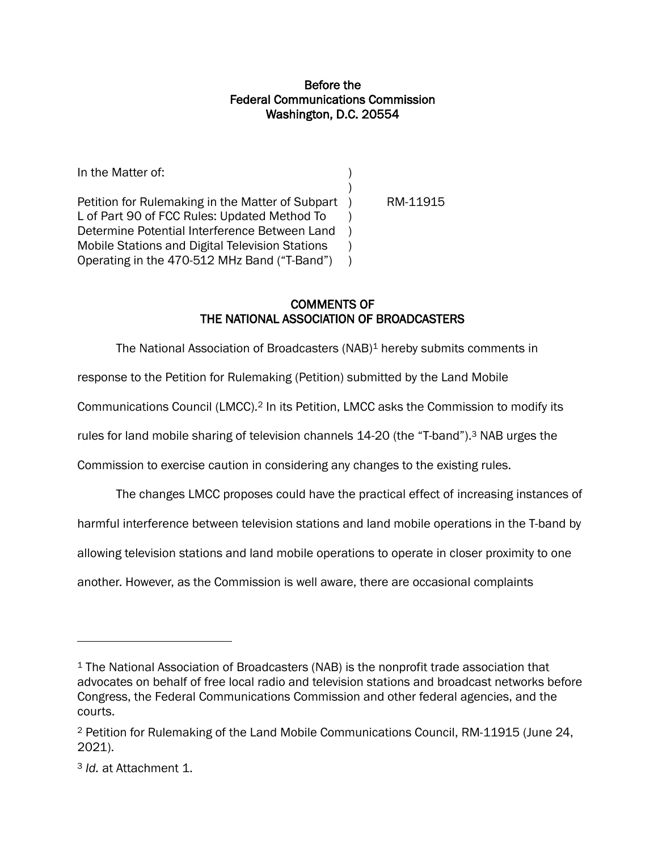## Before the Federal Communications Commission Washington, D.C. 20554

In the Matter of: (a) and (b) and (c) and (c) and (c) and (c) and (c) and (c) and (c) and (c) and (c) and (c)  $\alpha$ ) Petition for Rulemaking in the Matter of Subpart ) RM-11915 L of Part 90 of FCC Rules: Updated Method To ) Determine Potential Interference Between Land ) Mobile Stations and Digital Television Stations ) Operating in the 470-512 MHz Band ("T-Band") )

## COMMENTS OF THE NATIONAL ASSOCIATION OF BROADCASTERS

The National Association of Broadcasters (NAB)<sup>1</sup> hereby submits comments in

response to the Petition for Rulemaking (Petition) submitted by the Land Mobile

Communications Council (LMCC).<sup>2</sup> In its Petition, LMCC asks the Commission to modify its

rules for land mobile sharing of television channels 14-20 (the "T-band").<sup>3</sup> NAB urges the

Commission to exercise caution in considering any changes to the existing rules.

The changes LMCC proposes could have the practical effect of increasing instances of

harmful interference between television stations and land mobile operations in the T-band by

allowing television stations and land mobile operations to operate in closer proximity to one

another. However, as the Commission is well aware, there are occasional complaints

<sup>&</sup>lt;sup>1</sup> The National Association of Broadcasters (NAB) is the nonprofit trade association that advocates on behalf of free local radio and television stations and broadcast networks before Congress, the Federal Communications Commission and other federal agencies, and the courts.

<sup>2</sup> Petition for Rulemaking of the Land Mobile Communications Council, RM-11915 (June 24, 2021).

<sup>3</sup> *Id.* at Attachment 1.